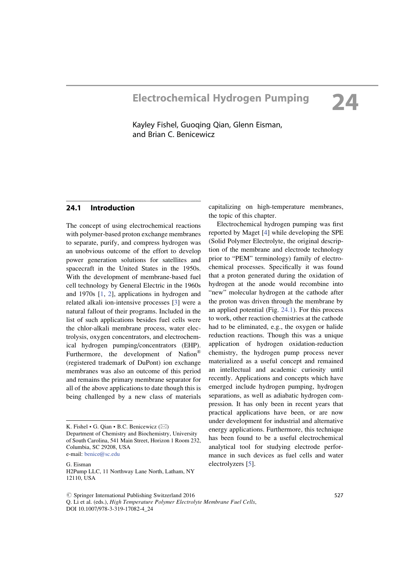# Electrochemical Hydrogen Pumping 24

Kayley Fishel, Guoqing Qian, Glenn Eisman, and Brian C. Benicewicz

## 24.1 Introduction

The concept of using electrochemical reactions with polymer-based proton exchange membranes to separate, purify, and compress hydrogen was an unobvious outcome of the effort to develop power generation solutions for satellites and spacecraft in the United States in the 1950s. With the development of membrane-based fuel cell technology by General Electric in the 1960s and 1970s [1, 2], applications in hydrogen and related alkali ion-intensive processes [3] were a natural fallout of their programs. Included in the list of such applications besides fuel cells were the chlor-alkali membrane process, water electrolysis, oxygen concentrators, and electrochemical hydrogen pumping/concentrators (EHP). Furthermore, the development of Nafion<sup>®</sup> (registered trademark of DuPont) ion exchange membranes was also an outcome of this period and remains the primary membrane separator for all of the above applications to date though this is being challenged by a new class of materials

K. Fishel • G. Oian • B.C. Benicewicz ( $\boxtimes$ )

Department of Chemistry and Biochemistry, University of South Carolina, 541 Main Street, Horizon 1 Room 232, Columbia, SC 29208, USA e-mail: benice@sc.edu

G. Eisman H2Pump LLC, 11 Northway Lane North, Latham, NY 12110, USA

capitalizing on high-temperature membranes, the topic of this chapter.

Electrochemical hydrogen pumping was first reported by Maget [4] while developing the SPE (Solid Polymer Electrolyte, the original description of the membrane and electrode technology prior to "PEM" terminology) family of electrochemical processes. Specifically it was found that a proton generated during the oxidation of hydrogen at the anode would recombine into "new" molecular hydrogen at the cathode after the proton was driven through the membrane by an applied potential (Fig. 24.1). For this process to work, other reaction chemistries at the cathode had to be eliminated, e.g., the oxygen or halide reduction reactions. Though this was a unique application of hydrogen oxidation-reduction chemistry, the hydrogen pump process never materialized as a useful concept and remained an intellectual and academic curiosity until recently. Applications and concepts which have emerged include hydrogen pumping, hydrogen separations, as well as adiabatic hydrogen compression. It has only been in recent years that practical applications have been, or are now under development for industrial and alternative energy applications. Furthermore, this technique has been found to be a useful electrochemical analytical tool for studying electrode performance in such devices as fuel cells and water electrolyzers [5].

 $\oslash$  Springer International Publishing Switzerland 2016

Q. Li et al. (eds.), High Temperature Polymer Electrolyte Membrane Fuel Cells,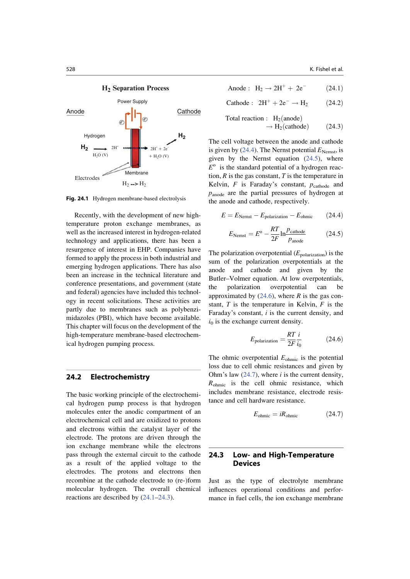

Fig. 24.1 Hydrogen membrane-based electrolysis

Recently, with the development of new hightemperature proton exchange membranes, as well as the increased interest in hydrogen-related technology and applications, there has been a resurgence of interest in EHP. Companies have formed to apply the process in both industrial and emerging hydrogen applications. There has also been an increase in the technical literature and conference presentations, and government (state and federal) agencies have included this technology in recent solicitations. These activities are partly due to membranes such as polybenzimidazoles (PBI), which have become available. This chapter will focus on the development of the high-temperature membrane-based electrochemical hydrogen pumping process.

#### 24.2 Electrochemistry

The basic working principle of the electrochemical hydrogen pump process is that hydrogen molecules enter the anodic compartment of an electrochemical cell and are oxidized to protons and electrons within the catalyst layer of the electrode. The protons are driven through the ion exchange membrane while the electrons pass through the external circuit to the cathode as a result of the applied voltage to the electrodes. The protons and electrons then recombine at the cathode electrode to (re-)form molecular hydrogen. The overall chemical reactions are described by (24.1–24.3).

$$
Anode: \ H_2 \rightarrow 2H^+ +\ 2e^- \qquad \quad \ (24.1)
$$

Cathode :  $2H^+ + 2e^- \rightarrow H_2$  (24.2)

Total reaction : 
$$
H_2
$$
(anode)  
 $\rightarrow H_2$ (cathode) (24.3)

The cell voltage between the anode and cathode is given by (24.4). The Nernst potential  $E_{\text{Nernst}}$ , is given by the Nernst equation (24.5), where  $E^{\circ}$  is the standard potential of a hydrogen reaction,  $R$  is the gas constant,  $T$  is the temperature in Kelvin,  $F$  is Faraday's constant,  $p_{\text{cathode}}$  and  $p_{\text{anode}}$  are the partial pressures of hydrogen at the anode and cathode, respectively.

$$
E = E_{\text{Nernst}} - E_{\text{polarization}} - E_{\text{ohmic}} \qquad (24.4)
$$

$$
E_{\text{Nernst}} = E^{\text{o}} - \frac{RT}{2F} \ln \frac{p_{\text{cathode}}}{p_{\text{anode}}}
$$
 (24.5)

The polarization overpotential  $(E_{\text{polarization}})$  is the sum of the polarization overpotentials at the anode and cathode and given by the Butler–Volmer equation. At low overpotentials, the polarization overpotential can be approximated by  $(24.6)$ , where R is the gas constant,  $T$  is the temperature in Kelvin,  $F$  is the Faraday's constant,  $i$  is the current density, and  $i_0$  is the exchange current density.

$$
E_{\text{polarization}} = \frac{RT}{2F} \frac{i}{i_0} \tag{24.6}
$$

The ohmic overpotential  $E_{\text{ohmic}}$  is the potential loss due to cell ohmic resistances and given by Ohm's law  $(24.7)$ , where *i* is the current density,  $R_{\text{ohmic}}$  is the cell ohmic resistance, which includes membrane resistance, electrode resistance and cell hardware resistance.

$$
E_{\text{ohmic}} = iR_{\text{ohmic}} \tag{24.7}
$$

## 24.3 Low- and High-Temperature **Devices**

Just as the type of electrolyte membrane influences operational conditions and performance in fuel cells, the ion exchange membrane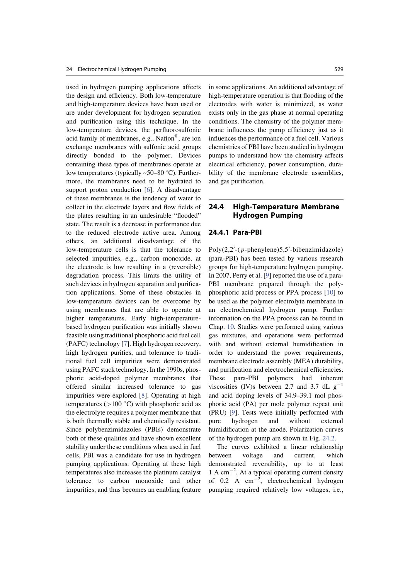used in hydrogen pumping applications affects the design and efficiency. Both low-temperature and high-temperature devices have been used or are under development for hydrogen separation and purification using this technique. In the low-temperature devices, the perfluorosulfonic acid family of membranes, e.g., Nafion®, are ion exchange membranes with sulfonic acid groups directly bonded to the polymer. Devices containing these types of membranes operate at low temperatures (typically  $\sim$ 50–80 °C). Furthermore, the membranes need to be hydrated to support proton conduction [6]. A disadvantage of these membranes is the tendency of water to collect in the electrode layers and flow fields of the plates resulting in an undesirable "flooded" state. The result is a decrease in performance due to the reduced electrode active area. Among others, an additional disadvantage of the low-temperature cells is that the tolerance to selected impurities, e.g., carbon monoxide, at the electrode is low resulting in a (reversible) degradation process. This limits the utility of such devices in hydrogen separation and purification applications. Some of these obstacles in low-temperature devices can be overcome by using membranes that are able to operate at higher temperatures. Early high-temperaturebased hydrogen purification was initially shown feasible using traditional phosphoric acid fuel cell (PAFC) technology [7]. High hydrogen recovery, high hydrogen purities, and tolerance to traditional fuel cell impurities were demonstrated using PAFC stack technology. In the 1990s, phosphoric acid-doped polymer membranes that offered similar increased tolerance to gas impurities were explored [8]. Operating at high temperatures  $(>100 \degree C)$  with phosphoric acid as the electrolyte requires a polymer membrane that is both thermally stable and chemically resistant. Since polybenzimidazoles (PBIs) demonstrate both of these qualities and have shown excellent stability under these conditions when used in fuel cells, PBI was a candidate for use in hydrogen pumping applications. Operating at these high temperatures also increases the platinum catalyst tolerance to carbon monoxide and other impurities, and thus becomes an enabling feature

in some applications. An additional advantage of high-temperature operation is that flooding of the electrodes with water is minimized, as water exists only in the gas phase at normal operating conditions. The chemistry of the polymer membrane influences the pump efficiency just as it influences the performance of a fuel cell. Various chemistries of PBI have been studied in hydrogen pumps to understand how the chemistry affects electrical efficiency, power consumption, durability of the membrane electrode assemblies, and gas purification.

## 24.4 High-Temperature Membrane Hydrogen Pumping

#### 24.4.1 Para-PBI

Poly(2,2'- $(p$ -phenylene)5,5'-bibenzimidazole) (para-PBI) has been tested by various research groups for high-temperature hydrogen pumping. In 2007, Perry et al. [9] reported the use of a para-PBI membrane prepared through the polyphosphoric acid process or PPA process [10] to be used as the polymer electrolyte membrane in an electrochemical hydrogen pump. Further information on the PPA process can be found in Chap. 10. Studies were performed using various gas mixtures, and operations were performed with and without external humidification in order to understand the power requirements, membrane electrode assembly (MEA) durability, and purification and electrochemical efficiencies. These para-PBI polymers had inherent viscosities (IV)s between 2.7 and 3.7 dL  $g^{-1}$ and acid doping levels of 34.9–39.1 mol phosphoric acid (PA) per mole polymer repeat unit (PRU) [9]. Tests were initially performed with pure hydrogen and without external humidification at the anode. Polarization curves of the hydrogen pump are shown in Fig. 24.2.

The curves exhibited a linear relationship between voltage and current, which demonstrated reversibility, up to at least  $1 \text{ A cm}^{-2}$ . At a typical operating current density of 0.2 A  $\text{cm}^{-2}$ , electrochemical hydrogen pumping required relatively low voltages, i.e.,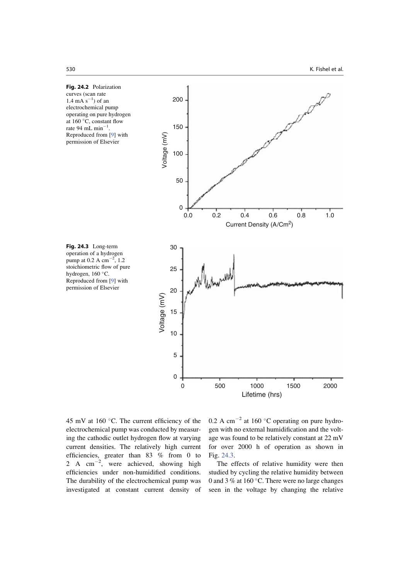

Voltage (mV) Voltage (mV) 100 50 0 0.0 0.2 0.4 0.6 0.8 1.0 Current Density (A/Cm2) 30 25 20 Voltage (mV) Voltage (mV) 15 10 5

200

150

0

Fig. 24.3 Long-term operation of a hydrogen pump at 0.2 A  $cm^{-2}$ , 1.2 stoichiometric flow of pure hydrogen, 160 °C. Reproduced from [9] with permission of Elsevier

45 mV at 160 $\degree$ C. The current efficiency of the electrochemical pump was conducted by measuring the cathodic outlet hydrogen flow at varying current densities. The relatively high current efficiencies, greater than 83 % from 0 to 2 A  $cm^{-2}$ , were achieved, showing high efficiencies under non-humidified conditions. The durability of the electrochemical pump was investigated at constant current density of

0.2 A cm<sup> $-2$ </sup> at 160 °C operating on pure hydrogen with no external humidification and the voltage was found to be relatively constant at 22 mV for over 2000 h of operation as shown in Fig. 24.3.

0 500 1000 1500 2000 Lifetime (hrs)

> The effects of relative humidity were then studied by cycling the relative humidity between 0 and 3  $%$  at 160 °C. There were no large changes seen in the voltage by changing the relative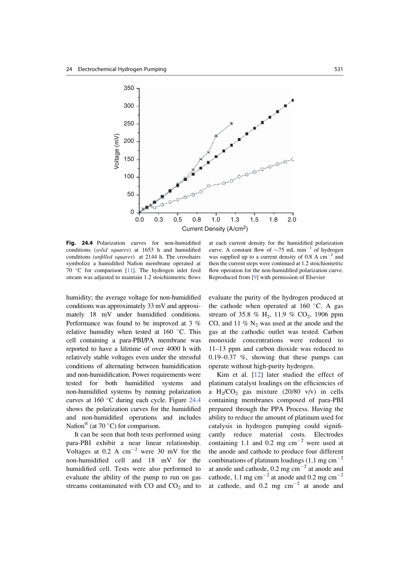

Fig. 24.4 Polarization curves for non-humidified conditions (solid squares) at 1653 h and humidified conditions (unfilled squares) at 2144 h. The crosshairs symbolize a humidified Nafion membrane operated at 70 °C for comparison [11]. The hydrogen inlet feed stream was adjusted to maintain 1.2 stoichiometric flows

humidity; the average voltage for non-humidified conditions was approximately 33 mV and approximately 18 mV under humidified conditions. Performance was found to be improved at 3 % relative humidity when tested at  $160^{\circ}$ C. This cell containing a para-PBI/PA membrane was reported to have a lifetime of over 4000 h with relatively stable voltages even under the stressful conditions of alternating between humidification and non-humidification. Power requirements were tested for both humidified systems and non-humidified systems by running polarization curves at  $160^{\circ}$ C during each cycle. Figure 24.4 shows the polarization curves for the humidified and non-humidified operations and includes Nafion<sup>®</sup> (at 70 °C) for comparison.

It can be seen that both tests performed using para-PBI exhibit a near linear relationship. Voltages at 0.2 A  $cm^{-2}$  were 30 mV for the non-humidified cell and 18 mV for the humidified cell. Tests were also performed to evaluate the ability of the pump to run on gas streams contaminated with  $CO$  and  $CO<sub>2</sub>$  and to

at each current density for the humidified polarization curve. A constant flow of  $\sim$ 75 mL min<sup>-1</sup> of hydrogen was supplied up to a current density of 0.8 A  $cm^{-2}$  and then the current steps were continued at 1.2 stoichiometric flow operation for the non-humidified polarization curve. Reproduced from [9] with permission of Elsevier

evaluate the purity of the hydrogen produced at the cathode when operated at 160  $\degree$ C. A gas stream of 35.8 % H<sub>2</sub>, 11.9 % CO<sub>2</sub>, 1906 ppm CO, and 11  $\%$  N<sub>2</sub> was used at the anode and the gas at the cathodic outlet was tested. Carbon monoxide concentrations were reduced to 11–13 ppm and carbon dioxide was reduced to 0.19–0.37 %, showing that these pumps can operate without high-purity hydrogen.

Kim et al. [12] later studied the effect of platinum catalyst loadings on the efficiencies of a  $H_2/CO_2$  gas mixture (20/80 v/v) in cells containing membranes composed of para-PBI prepared through the PPA Process. Having the ability to reduce the amount of platinum used for catalysis in hydrogen pumping could significantly reduce material costs. Electrodes containing 1.1 and 0.2 mg  $cm^{-2}$  were used at the anode and cathode to produce four different combinations of platinum loadings  $(1.1 \text{ mg cm}^{-2})$ at anode and cathode,  $0.2$  mg cm<sup>-2</sup> at anode and cathode, 1.1 mg cm<sup>-2</sup> at anode and 0.2 mg cm<sup>-2</sup> at cathode, and  $0.2 \text{ mg cm}^{-2}$  at anode and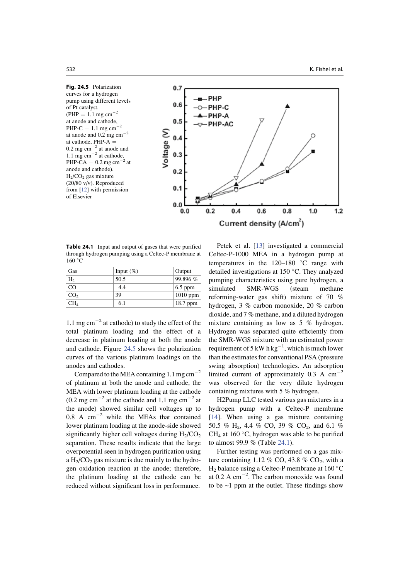Fig. 24.5 Polarization curves for a hydrogen pump using different levels of Pt catalyst. (PHP =  $1.1$  mg cm<sup>-2</sup> at anode and cathode, PHP- $C = 1.1$  mg cm<sup>-</sup> at anode and  $0.2$  mg cm<sup>-2</sup> at cathode,  $PHP-A =$ 0.2 mg cm<sup> $^{-2}$ </sup> at anode and 1.1 mg  $\text{cm}^{-2}$  at cathode, PHP-CA =  $0.2$  mg cm<sup>-2</sup> at anode and cathode).  $H<sub>2</sub>/CO<sub>2</sub>$  gas mixture (20/80 v/v). Reproduced from [12] with permission of Elsevier



Table 24.1 Input and output of gases that were purified through hydrogen pumping using a Celtec-P membrane at  $160 °C$ 

| Gas             | Input $(\%)$ | Output     |
|-----------------|--------------|------------|
| H <sub>2</sub>  | 50.5         | 99.896 %   |
| $_{\rm CO}$     | 4.4          | $6.5$ ppm  |
| CO <sub>2</sub> | 39           | $1010$ ppm |
| CH <sub>4</sub> | 6.1          | $18.7$ ppm |

1.1 mg cm<sup> $-2$ </sup> at cathode) to study the effect of the total platinum loading and the effect of a decrease in platinum loading at both the anode and cathode. Figure 24.5 shows the polarization curves of the various platinum loadings on the anodes and cathodes.

Compared to the MEA containing 1.1 mg cm<sup> $-2$ </sup> of platinum at both the anode and cathode, the MEA with lower platinum loading at the cathode  $(0.2 \text{ mg cm}^{-2} \text{ at the cathode and } 1.1 \text{ mg cm}^{-2} \text{ at }$ the anode) showed similar cell voltages up to  $0.8$  A cm<sup>-2</sup> while the MEAs that contained lower platinum loading at the anode-side showed significantly higher cell voltages during  $H<sub>2</sub>/CO<sub>2</sub>$ separation. These results indicate that the large overpotential seen in hydrogen purification using a  $H_2/CO_2$  gas mixture is due mainly to the hydrogen oxidation reaction at the anode; therefore, the platinum loading at the cathode can be reduced without significant loss in performance.

Petek et al. [13] investigated a commercial Celtec-P-1000 MEA in a hydrogen pump at temperatures in the  $120-180$  °C range with detailed investigations at 150 $\degree$ C. They analyzed pumping characteristics using pure hydrogen, a simulated SMR-WGS (steam methane reforming-water gas shift) mixture of 70 % hydrogen, 3 % carbon monoxide, 20 % carbon dioxide, and 7 % methane, and a diluted hydrogen mixture containing as low as 5 % hydrogen. Hydrogen was separated quite efficiently from the SMR-WGS mixture with an estimated power requirement of  $5 \text{ kW h kg}^{-1}$ , which is much lower than the estimates for conventional PSA (pressure swing absorption) technologies. An adsorption limited current of approximately 0.3 A  $cm^{-2}$ was observed for the very dilute hydrogen containing mixtures with 5 % hydrogen.

H2Pump LLC tested various gas mixtures in a hydrogen pump with a Celtec-P membrane [14]. When using a gas mixture containing 50.5 % H<sub>2</sub>, 4.4 % CO, 39 % CO<sub>2</sub>, and 6.1 % CH<sub>4</sub> at 160 °C, hydrogen was able to be purified to almost 99.9 % (Table 24.1).

Further testing was performed on a gas mixture containing 1.12 % CO, 43.8 % CO<sub>2</sub>, with a  $H_2$  balance using a Celtec-P membrane at 160 °C at 0.2 A  $cm^{-2}$ . The carbon monoxide was found to be  $\sim$ 1 ppm at the outlet. These findings show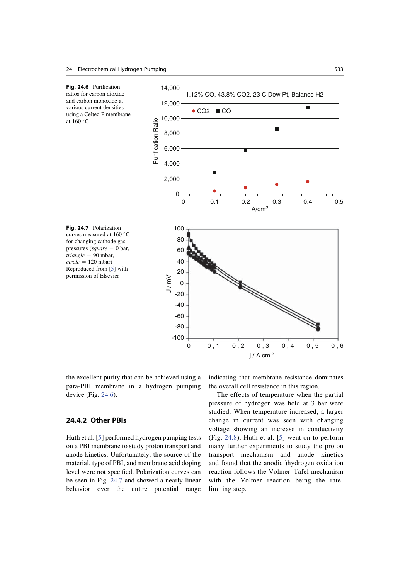

the excellent purity that can be achieved using a para-PBI membrane in a hydrogen pumping device (Fig. 24.6).

## 24.4.2 Other PBIs

Huth et al. [5] performed hydrogen pumping tests on a PBI membrane to study proton transport and anode kinetics. Unfortunately, the source of the material, type of PBI, and membrane acid doping level were not specified. Polarization curves can be seen in Fig. 24.7 and showed a nearly linear behavior over the entire potential range

indicating that membrane resistance dominates the overall cell resistance in this region.

The effects of temperature when the partial pressure of hydrogen was held at 3 bar were studied. When temperature increased, a larger change in current was seen with changing voltage showing an increase in conductivity (Fig. 24.8). Huth et al. [5] went on to perform many further experiments to study the proton transport mechanism and anode kinetics and found that the anodic )hydrogen oxidation reaction follows the Volmer–Tafel mechanism with the Volmer reaction being the ratelimiting step.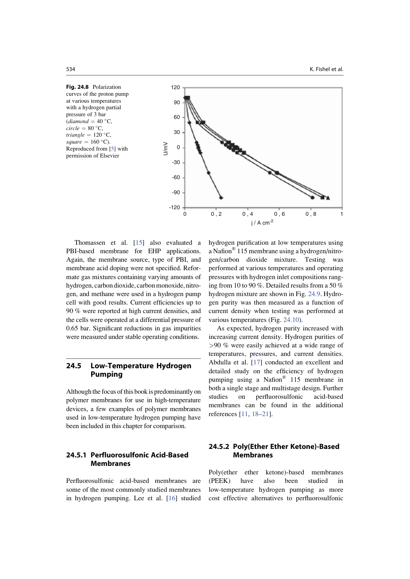Fig. 24.8 Polarization curves of the proton pump at various temperatures with a hydrogen partial pressure of 3 bar  $(diamond = 40 °C,$  $circle = 80 °C,$ triangle  $= 120$  °C, square  $= 160 °C$ . Reproduced from [5] with permission of Elsevier



Thomassen et al. [15] also evaluated a PBI-based membrane for EHP applications. Again, the membrane source, type of PBI, and membrane acid doping were not specified. Reformate gas mixtures containing varying amounts of hydrogen, carbon dioxide, carbon monoxide, nitrogen, and methane were used in a hydrogen pump cell with good results. Current efficiencies up to 90 % were reported at high current densities, and the cells were operated at a differential pressure of 0.65 bar. Significant reductions in gas impurities were measured under stable operating conditions.

## 24.5 Low-Temperature Hydrogen Pumping

Although the focus of this book is predominantly on polymer membranes for use in high-temperature devices, a few examples of polymer membranes used in low-temperature hydrogen pumping have been included in this chapter for comparison.

## 24.5.1 Perfluorosulfonic Acid-Based Membranes

Perfluorosulfonic acid-based membranes are some of the most commonly studied membranes in hydrogen pumping. Lee et al. [16] studied hydrogen purification at low temperatures using a Nafion® 115 membrane using a hydrogen/nitrogen/carbon dioxide mixture. Testing was performed at various temperatures and operating pressures with hydrogen inlet compositions ranging from 10 to 90 %. Detailed results from a 50 % hydrogen mixture are shown in Fig. 24.9. Hydrogen purity was then measured as a function of current density when testing was performed at various temperatures (Fig. 24.10).

As expected, hydrogen purity increased with increasing current density. Hydrogen purities of >90 % were easily achieved at a wide range of temperatures, pressures, and current densities. Abdulla et al. [17] conducted an excellent and detailed study on the efficiency of hydrogen pumping using a Nafion® 115 membrane in both a single stage and multistage design. Further studies on perfluorosulfonic acid-based membranes can be found in the additional references [11, 18–21].

## 24.5.2 Poly(Ether Ether Ketone)-Based Membranes

Poly(ether ether ketone)-based membranes (PEEK) have also been studied in low-temperature hydrogen pumping as more cost effective alternatives to perfluorosulfonic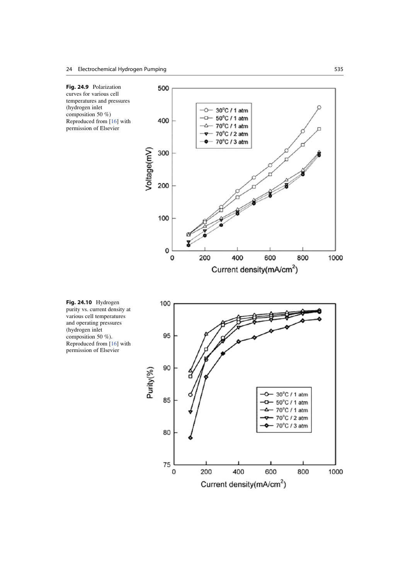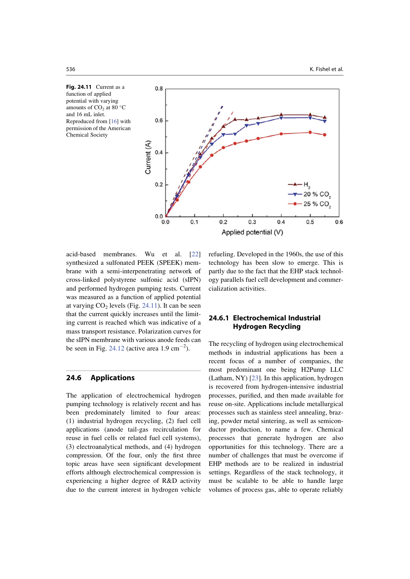



acid-based membranes. Wu et al. [22] synthesized a sulfonated PEEK (SPEEK) membrane with a semi-interpenetrating network of cross-linked polystyrene sulfonic acid (sIPN) and performed hydrogen pumping tests. Current was measured as a function of applied potential at varying  $CO<sub>2</sub>$  levels (Fig. 24.11). It can be seen that the current quickly increases until the limiting current is reached which was indicative of a mass transport resistance. Polarization curves for the sIPN membrane with various anode feeds can be seen in Fig. 24.12 (active area  $1.9 \text{ cm}^{-2}$ ).

### 24.6 Applications

The application of electrochemical hydrogen pumping technology is relatively recent and has been predominately limited to four areas: (1) industrial hydrogen recycling, (2) fuel cell applications (anode tail-gas recirculation for reuse in fuel cells or related fuel cell systems), (3) electroanalytical methods, and (4) hydrogen compression. Of the four, only the first three topic areas have seen significant development efforts although electrochemical compression is experiencing a higher degree of R&D activity due to the current interest in hydrogen vehicle

refueling. Developed in the 1960s, the use of this technology has been slow to emerge. This is partly due to the fact that the EHP stack technology parallels fuel cell development and commercialization activities.

## 24.6.1 Electrochemical Industrial Hydrogen Recycling

The recycling of hydrogen using electrochemical methods in industrial applications has been a recent focus of a number of companies, the most predominant one being H2Pump LLC (Latham, NY) [23]. In this application, hydrogen is recovered from hydrogen-intensive industrial processes, purified, and then made available for reuse on-site. Applications include metallurgical processes such as stainless steel annealing, brazing, powder metal sintering, as well as semiconductor production, to name a few. Chemical processes that generate hydrogen are also opportunities for this technology. There are a number of challenges that must be overcome if EHP methods are to be realized in industrial settings. Regardless of the stack technology, it must be scalable to be able to handle large volumes of process gas, able to operate reliably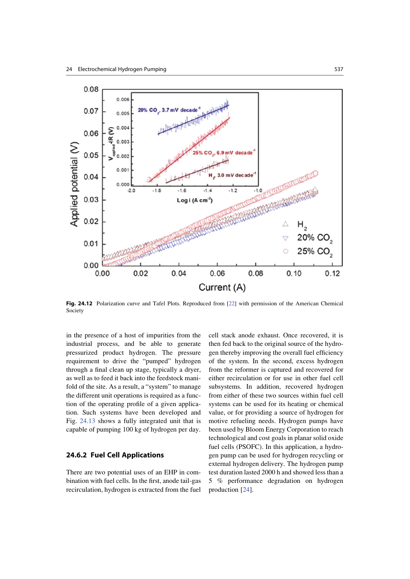

Fig. 24.12 Polarization curve and Tafel Plots. Reproduced from [22] with permission of the American Chemical Society

in the presence of a host of impurities from the industrial process, and be able to generate pressurized product hydrogen. The pressure requirement to drive the "pumped" hydrogen through a final clean up stage, typically a dryer, as well as to feed it back into the feedstock manifold of the site. As a result, a "system" to manage the different unit operations is required as a function of the operating profile of a given application. Such systems have been developed and Fig. 24.13 shows a fully integrated unit that is capable of pumping 100 kg of hydrogen per day.

### 24.6.2 Fuel Cell Applications

There are two potential uses of an EHP in combination with fuel cells. In the first, anode tail-gas recirculation, hydrogen is extracted from the fuel

cell stack anode exhaust. Once recovered, it is then fed back to the original source of the hydrogen thereby improving the overall fuel efficiency of the system. In the second, excess hydrogen from the reformer is captured and recovered for either recirculation or for use in other fuel cell subsystems. In addition, recovered hydrogen from either of these two sources within fuel cell systems can be used for its heating or chemical value, or for providing a source of hydrogen for motive refueling needs. Hydrogen pumps have been used by Bloom Energy Corporation to reach technological and cost goals in planar solid oxide fuel cells (PSOFC). In this application, a hydrogen pump can be used for hydrogen recycling or external hydrogen delivery. The hydrogen pump test duration lasted 2000 h and showed less than a 5 % performance degradation on hydrogen production [24].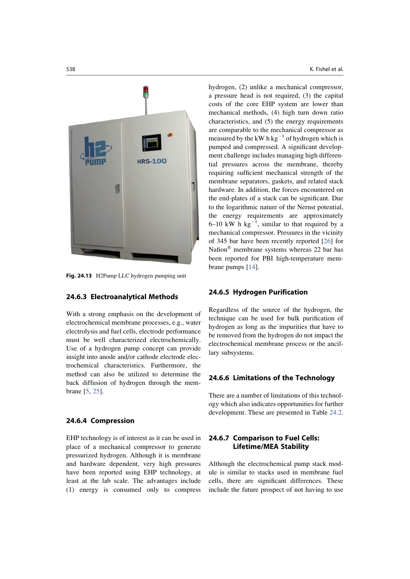

Fig. 24.13 H2Pump LLC hydrogen pumping unit

#### 24.6.3 Electroanalytical Methods

With a strong emphasis on the development of electrochemical membrane processes, e.g., water electrolysis and fuel cells, electrode performance must be well characterized electrochemically. Use of a hydrogen pump concept can provide insight into anode and/or cathode electrode electrochemical characteristics. Furthermore, the method can also be utilized to determine the back diffusion of hydrogen through the membrane [5, 25].

#### 24.6.4 Compression

EHP technology is of interest as it can be used in place of a mechanical compressor to generate pressurized hydrogen. Although it is membrane and hardware dependent, very high pressures have been reported using EHP technology, at least at the lab scale. The advantages include (1) energy is consumed only to compress

hydrogen, (2) unlike a mechanical compressor, a pressure head is not required, (3) the capital costs of the core EHP system are lower than mechanical methods, (4) high turn down ratio characteristics, and (5) the energy requirements are comparable to the mechanical compressor as measured by the kW h  $kg^{-1}$  of hydrogen which is pumped and compressed. A significant development challenge includes managing high differential pressures across the membrane, thereby requiring sufficient mechanical strength of the membrane separators, gaskets, and related stack hardware. In addition, the forces encountered on the end-plates of a stack can be significant. Due to the logarithmic nature of the Nernst potential, the energy requirements are approximately  $6-10$  kW h kg<sup>-1</sup>, similar to that required by a mechanical compressor. Pressures in the vicinity of 345 bar have been recently reported [26] for Nafion® membrane systems whereas 22 bar has been reported for PBI high-temperature membrane pumps [14].

#### 24.6.5 Hydrogen Purification

Regardless of the source of the hydrogen, the technique can be used for bulk purification of hydrogen as long as the impurities that have to be removed from the hydrogen do not impact the electrochemical membrane process or the ancillary subsystems.

### 24.6.6 Limitations of the Technology

There are a number of limitations of this technology which also indicates opportunities for further development. These are presented in Table 24.2.

## 24.6.7 Comparison to Fuel Cells: Lifetime/MEA Stability

Although the electrochemical pump stack module is similar to stacks used in membrane fuel cells, there are significant differences. These include the future prospect of not having to use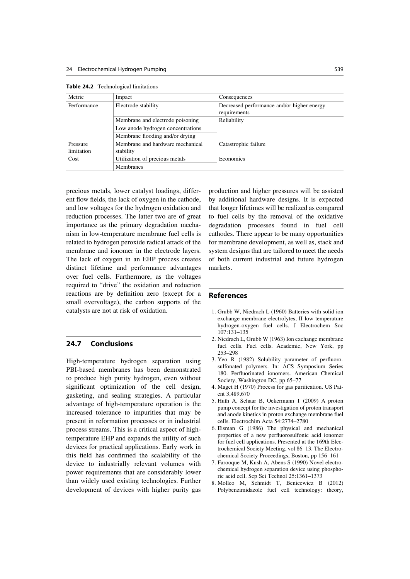| Metric                 | Impact                                        | Consequences                                               |  |
|------------------------|-----------------------------------------------|------------------------------------------------------------|--|
| Performance            | Electrode stability                           | Decreased performance and/or higher energy<br>requirements |  |
|                        | Membrane and electrode poisoning              | Reliability                                                |  |
|                        | Low anode hydrogen concentrations             |                                                            |  |
|                        | Membrane flooding and/or drying               |                                                            |  |
| Pressure<br>limitation | Membrane and hardware mechanical<br>stability | Catastrophic failure                                       |  |
| Cost                   | Utilization of precious metals                | Economics                                                  |  |
|                        | <b>Membranes</b>                              |                                                            |  |

|  | <b>Table 24.2</b> Technological limitations |  |
|--|---------------------------------------------|--|
|--|---------------------------------------------|--|

precious metals, lower catalyst loadings, different flow fields, the lack of oxygen in the cathode, and low voltages for the hydrogen oxidation and reduction processes. The latter two are of great importance as the primary degradation mechanism in low-temperature membrane fuel cells is related to hydrogen peroxide radical attack of the membrane and ionomer in the electrode layers. The lack of oxygen in an EHP process creates distinct lifetime and performance advantages over fuel cells. Furthermore, as the voltages required to "drive" the oxidation and reduction reactions are by definition zero (except for a small overvoltage), the carbon supports of the catalysts are not at risk of oxidation.

## 24.7 Conclusions

High-temperature hydrogen separation using PBI-based membranes has been demonstrated to produce high purity hydrogen, even without significant optimization of the cell design, gasketing, and sealing strategies. A particular advantage of high-temperature operation is the increased tolerance to impurities that may be present in reformation processes or in industrial process streams. This is a critical aspect of hightemperature EHP and expands the utility of such devices for practical applications. Early work in this field has confirmed the scalability of the device to industrially relevant volumes with power requirements that are considerably lower than widely used existing technologies. Further development of devices with higher purity gas

production and higher pressures will be assisted by additional hardware designs. It is expected that longer lifetimes will be realized as compared to fuel cells by the removal of the oxidative degradation processes found in fuel cell cathodes. There appear to be many opportunities for membrane development, as well as, stack and system designs that are tailored to meet the needs of both current industrial and future hydrogen markets.

#### References

- 1. Grubb W, Niedrach L (1960) Batteries with solid ion exchange membrane electrolytes, II low temperature hydrogen-oxygen fuel cells. J Electrochem Soc 107:131–135
- 2. Niedrach L, Grubb W (1963) Ion exchange membrane fuel cells. Fuel cells. Academic, New York, pp 253–298
- 3. Yeo R (1982) Solubility parameter of perfluorosulfonated polymers. In: ACS Symposium Series 180. Perfluorinated ionomers. American Chemical Society, Washington DC, pp 65–77
- 4. Maget H (1970) Process for gas purification. US Patent 3,489,670
- 5. Huth A, Schaar B, Oekermann T (2009) A proton pump concept for the investigation of proton transport and anode kinetics in proton exchange membrane fuel cells. Electrochim Acta 54:2774–2780
- 6. Eisman G (1986) The physical and mechanical properties of a new perfluorosulfonic acid ionomer for fuel cell applications. Presented at the 169th Electrochemical Society Meeting, vol 86–13. The Electrochemical Society Proceedings, Boston, pp 156–161
- 7. Farooque M, Kush A, Abens S (1990) Novel electrochemical hydrogen separation device using phosphoric acid cell. Sep Sci Technol 25:1361–1373
- 8. Molleo M, Schmidt T, Benicewicz B (2012) Polybenzimidazole fuel cell technology: theory,